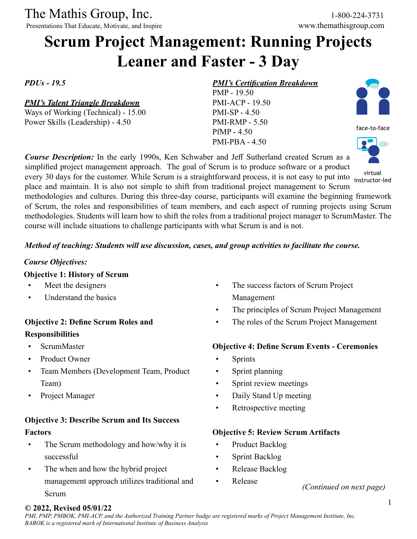Presentations That Educate, Motivate, and Inspire

# **Scrum Project Management: Running Projects Leaner and Faster - 3 Day**

*PDUs - 19.5*

#### *PMI's Talent Triangle Breakdown*

Ways of Working (Technical) - 15.00 Power Skills (Leadership) - 4.50

#### *PMI's Certification Breakdown*

PMP - 19.50 PMI-ACP - 19.50 PMI-SP - 4.50 PMI-RMP - 5.50 PfMP - 4.50 PMI-PBA - 4.50



*Course Description:* In the early 1990s, Ken Schwaber and Jeff Sutherland created Scrum as a simplified project management approach. The goal of Scrum is to produce software or a product instructor-led

every 30 days for the customer. While Scrum is a straightforward process, it is not easy to put into instructorplace and maintain. It is also not simple to shift from traditional project management to Scrum methodologies and cultures. During this three-day course, participants will examine the beginning framework of Scrum, the roles and responsibilities of team members, and each aspect of running projects using Scrum methodologies. Students will learn how to shift the roles from a traditional project manager to ScrumMaster. The course will include situations to challenge participants with what Scrum is and is not.

#### *Method of teaching: Students will use discussion, cases, and group activities to facilitate the course.*

#### *Course Objectives:*

#### **Objective 1: History of Scrum**

- Meet the designers
- Understand the basics

## **Objective 2: Define Scrum Roles and Responsibilities**

- ScrumMaster
- Product Owner
- Team Members (Development Team, Product Team)
- Project Manager

# **Objective 3: Describe Scrum and Its Success Factors**

- The Scrum methodology and how/why it is successful
- The when and how the hybrid project management approach utilizes traditional and Scrum
- The success factors of Scrum Project Management
- The principles of Scrum Project Management
- The roles of the Scrum Project Management

## **Objective 4: Define Scrum Events - Ceremonies**

- **Sprints**
- Sprint planning
- Sprint review meetings
- Daily Stand Up meeting
- Retrospective meeting

## **Objective 5: Review Scrum Artifacts**

- Product Backlog
- Sprint Backlog
- Release Backlog
- Release

#### **© 2022, Revised 05/01/22**

*(Continued on next page)*